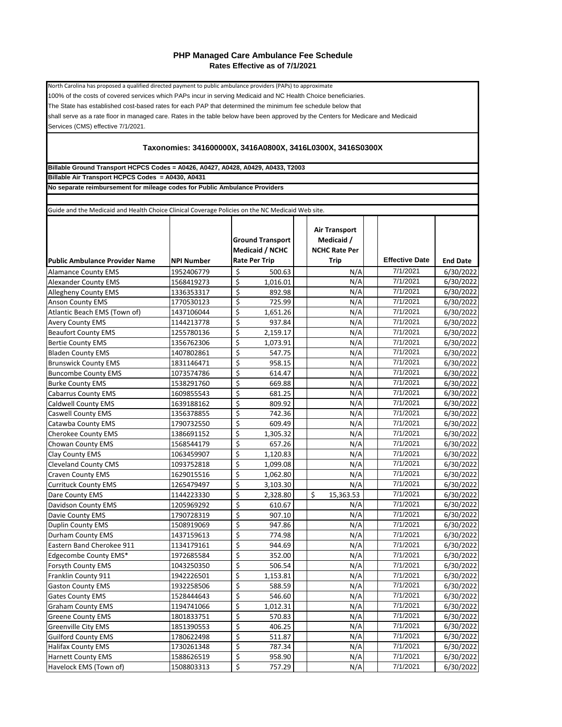## **PHP Managed Care Ambulance Fee Schedule Rates Effective as of 7/1/2021**

Services (CMS) effective 7/1/2021. shall serve as a rate floor in managed care. Rates in the table below have been approved by the Centers for Medicare and Medicaid North Carolina has proposed a qualified directed payment to public ambulance providers (PAPs) to approximate 100% of the costs of covered services which PAPs incur in serving Medicaid and NC Health Choice beneficiaries. The State has established cost-based rates for each PAP that determined the minimum fee schedule below that

## **Taxonomies: 341600000X, 3416A0800X, 3416L0300X, 3416S0300X**

**Billable Ground Transport HCPCS Codes = A0426, A0427, A0428, A0429, A0433, T2003**

**Billable Air Transport HCPCS Codes = A0430, A0431**

**No separate reimbursement for mileage codes for Public Ambulance Providers**

**Public Ambulance Provider Name NPI Number Ground Transport Medicaid / NCHC Rate Per Trip Air Transport Medicaid / NCHC Rate Per Trip Effective Date End Date** Alamance County EMS 1952406779 \$ 500.63 N/A 7/1/2021 6/30/2022<br>Alexander County EMS 1568419273 \$ 1,016.01 N/A 7/1/2021 6/30/2022 Alexander County EMS 1568419273  $\left| \begin{array}{ccc} 5 & 1,016.01 \end{array} \right|$  N/A 7/1/2021 6/30/2022 Allegheny County EMS 1336353317 \$ 892.98 N/A 7/1/2021 6/30/2022 Anson County EMS 1770530123 Services Anson County EMS 1771/2021 6/30/2022 Atlantic Beach EMS (Town of) 1437106044  $\begin{vmatrix} 5 & 1,651.26 \end{vmatrix}$  N/A 7/1/2021 6/30/2022 Avery County EMS 1144213778  $\begin{array}{|c|c|c|c|c|c|c|c|}\n\hline\n\text{A} & \text{A} & \text{B} & \text{B} & \text{B} & \text{B} \\
\hline\n\text{B} & \text{B} & \text{B} & \text{C} & \text{A} & \text{B} \\
\hline\n\text{B} & \text{B} & \text{C} & \text{A} & \text{D} & \text{A} & \text{B} \\
\hline\n\text{B} & \text{B} & \text{A} & \text{B} & \text{B} & \text{B} \\
\hline$ Beaufort County EMS 1255780136 | \$ 2,159.17 | N/A 7/1/2021 | 6/30/2022 Bertie County EMS 1356762306  $\begin{vmatrix} 5 & 1,073.91 \end{vmatrix}$  N/A 7/1/2021 6/30/2022 Bladen County EMS 1407802861  $\begin{vmatrix} 5 & 547.75 \end{vmatrix}$  N/A 7/1/2021 6/30/2022 Brunswick County EMS 1831146471  $\begin{vmatrix} 5 & 958.15 \end{vmatrix}$  N/A 7/1/2021 6/30/2022 Buncombe County EMS 1073574786 \$ 614.47 N/A 7/1/2021 6/30/2022 Burke County EMS 1538291760 \$ 669.88 N/A 7/1/2021 6/30/2022<br>Cabarrus County EMS 1609855543 \$ 681.25 N/A 7/1/2021 6/30/2022 Cabarrus County EMS 1609855543 \$ 681.25 N/A 7/1/2021 6/30/2022<br>Caldwell County EMS 1639188162 \$ 809.92 N/A 7/1/2021 6/30/2022 Caldwell County EMS 1639188162  $\begin{vmatrix} 6 & 809.92 \end{vmatrix}$  N/A 7/1/2021 6/30/2022 Caswell County EMS 1356378855  $\vert$  \$ 742.36 | N/A 7/1/2021 | 6/30/2022 Catawba County EMS 1790732550  $\left| \begin{array}{c} \xi \end{array} \right|$  609.49  $\left| \begin{array}{c} \eta \end{array} \right|$  17/1/2021  $\left| \begin{array}{c} \frac{6}{30}}{\text{2022}} \end{array}$ Cherokee County EMS 1386691152  $\begin{vmatrix} 5 & 1,305.32 \end{vmatrix}$  N/A 7/1/2021 6/30/2022 Chowan County EMS 1568544179  $\begin{vmatrix} 5 & 657.26 \end{vmatrix}$  N/A 7/1/2021 6/30/2022 Clay County EMS 1063459907 \$ 1,120.83 N/A 7/1/2021 6/30/2022<br>Cleveland County CMS 1093752818 \$ 1.099.08 N/A 7/1/2021 6/30/2022 Cleveland County CMS 1093752818 \$ 1,099.08 N/A 7/1/2021 6/30/2022 Craven County EMS |1629015516 | \$ 1,062.80 | N/A| | 7/1/2021 | 6/30/2022 Currituck County EMS 1265479497 \$ 3,103.30 N/A 7/1/2021 6/30/2022 Pare County EMS 1144223330 \$ 2,328.80 \$ 15,363.53 7/1/2021 6/30/2022<br>Davidson County EMS 1205969292 \$ 610.67 N/A 7/1/2021 6/30/2022 Davidson County EMS 1205969292 \$ 610.67 N/A 7/1/2021 6/30/2022<br>
Davie County EMS 1790728319 \$ 907.10 N/A 7/1/2021 6/30/2022 Davie County EMS  $\begin{array}{ccc} \text{1790728319} & \text{ } & \text{907.10} \end{array}$  N/A Duplin County EMS 1508919069  $\begin{vmatrix} 5 & 947.86 \end{vmatrix}$  N/A 7/1/2021 6/30/2022 Durham County EMS 1437159613  $\begin{vmatrix} 6 & 774.98 \end{vmatrix}$  N/A 7/1/2021 6/30/2022 Eastern Band Cherokee 911 1134179161 \$ 944.69 N/A 7/1/2021 6/30/2022 Edgecombe County EMS\* 1972685584 \$ 352.00 N/A 7/1/2021 6/30/2022<br>Forsyth County EMS 1043250350 \$ 506.54 N/A 7/1/2021 6/30/2022 Forsyth County EMS 1043250350 \$ 506.54 N/A 7/1/2021 6/30/2022 Franklin County 911 1942226501 \$ 1,153.81 N/A 7/1/2021 6/30/2022 Gaston County EMS |1932258506 | \$ 588.59 | N/A| | 7/1/2021 | 6/30/2022 Gates County EMS 1528444643  $\left|\right. \right. \left. \right\vert$  546.60  $\left| \right. \left. \right\vert$  17/1/2021  $\left| \right. 6/30/2022$ Graham County EMS 1194741066 \$ 1,012.31 N/A 7/1/2021 6/30/2022<br>Greene County EMS 1801833751 S 570.83 N/A 7/1/2021 6/30/2022 Greene County EMS 1801833751  $\begin{vmatrix} 5 & 570.83 \end{vmatrix}$  N/A 7/1/2021 6/30/2022 Greenville City EMS 1851390553  $\frac{1}{5}$  406.25 N/A 7/1/2021 6/30/2022 Guilford County EMS 1780622498  $\begin{vmatrix} 5 & 511.87 \end{vmatrix}$  N/A 7/1/2021 6/30/2022 Halifax County EMS 1730261348  $\begin{vmatrix} 5 & 787.34 \end{vmatrix}$  N/A 7/1/2021 6/30/2022 Harnett County EMS 1588626519 \$ 958.90 N/A 7/1/2021 6/30/2022 Havelock EMS (Town of) 1508803313  $\frac{1}{5}$  757.29  $\frac{1}{1}$  N/A 7/1/2021 6/30/2022 Guide and the Medicaid and Health Choice Clinical Coverage Policies on the NC Medicaid Web site.